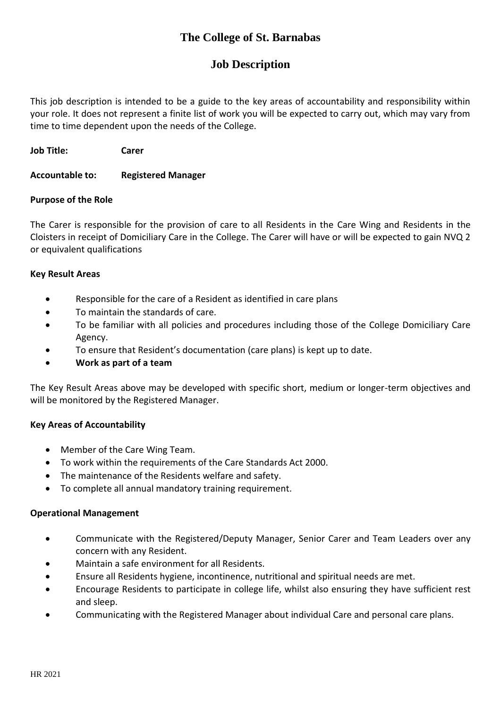# **The College of St. Barnabas**

## **Job Description**

This job description is intended to be a guide to the key areas of accountability and responsibility within your role. It does not represent a finite list of work you will be expected to carry out, which may vary from time to time dependent upon the needs of the College.

**Job Title: Carer**

#### **Accountable to: Registered Manager**

### **Purpose of the Role**

The Carer is responsible for the provision of care to all Residents in the Care Wing and Residents in the Cloisters in receipt of Domiciliary Care in the College. The Carer will have or will be expected to gain NVQ 2 or equivalent qualifications

#### **Key Result Areas**

- Responsible for the care of a Resident as identified in care plans
- To maintain the standards of care.
- To be familiar with all policies and procedures including those of the College Domiciliary Care Agency.
- To ensure that Resident's documentation (care plans) is kept up to date.
- **Work as part of a team**

The Key Result Areas above may be developed with specific short, medium or longer-term objectives and will be monitored by the Registered Manager.

## **Key Areas of Accountability**

- Member of the Care Wing Team.
- To work within the requirements of the Care Standards Act 2000.
- The maintenance of the Residents welfare and safety.
- To complete all annual mandatory training requirement.

#### **Operational Management**

- Communicate with the Registered/Deputy Manager, Senior Carer and Team Leaders over any concern with any Resident.
- Maintain a safe environment for all Residents.
- Ensure all Residents hygiene, incontinence, nutritional and spiritual needs are met.
- Encourage Residents to participate in college life, whilst also ensuring they have sufficient rest and sleep.
- Communicating with the Registered Manager about individual Care and personal care plans.